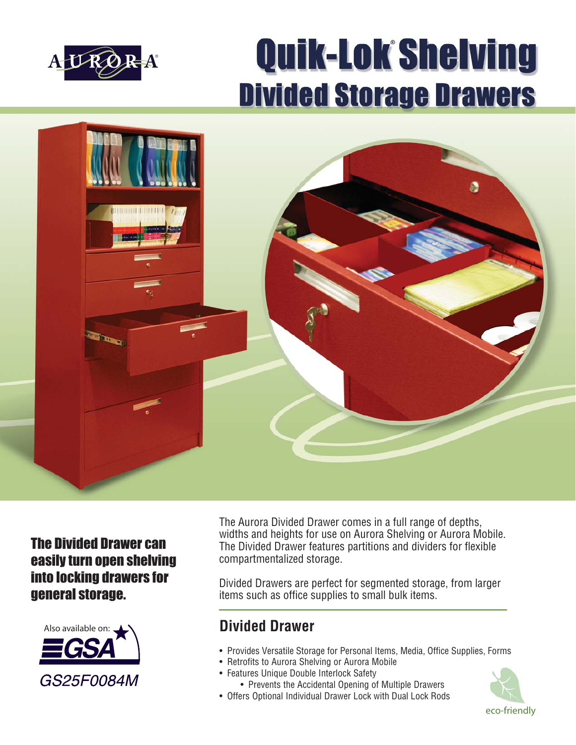

## **Quik-Lok Shelving Divided Storage Drawers**



### The Divided Drawer can easily turn open shelving into locking drawers for general storage.



The Aurora Divided Drawer comes in a full range of depths, widths and heights for use on Aurora Shelving or Aurora Mobile. The Divided Drawer features partitions and dividers for flexible compartmentalized storage.

Divided Drawers are perfect for segmented storage, from larger items such as office supplies to small bulk items.

## **Divided Drawer**

- Provides Versatile Storage for Personal Items, Media, Office Supplies, Forms
- Retrofits to Aurora Shelving or Aurora Mobile
- Features Unique Double Interlock Safety
	- Prevents the Accidental Opening of Multiple Drawers
- Offers Optional Individual Drawer Lock with Dual Lock Rods